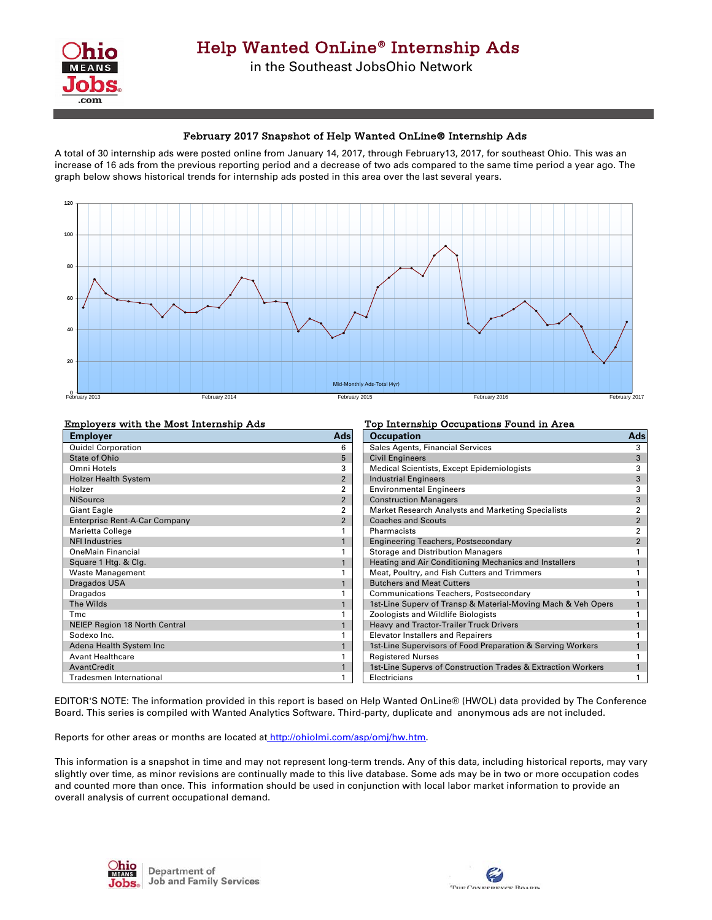

## February 2017 Snapshot of Help Wanted OnLine® Internship Ads

A total of 30 internship ads were posted online from January 14, 2017, through February13, 2017, for southeast Ohio. This was an increase of 16 ads from the previous reporting period and a decrease of two ads compared to the same time period a year ago. The graph below shows historical trends for internship ads posted in this area over the last several years.



| <b>Employers with the Most Internship Ads</b> |                | Top Internship Occupations Found in Area                     |                |
|-----------------------------------------------|----------------|--------------------------------------------------------------|----------------|
| <b>Employer</b>                               | <b>Ads</b>     | <b>Occupation</b>                                            | Ads            |
| <b>Quidel Corporation</b>                     | 6              | Sales Agents, Financial Services                             |                |
| State of Ohio                                 | 5              | <b>Civil Engineers</b>                                       | 3              |
| Omni Hotels                                   |                | Medical Scientists, Except Epidemiologists                   |                |
| <b>Holzer Health System</b>                   | $\overline{2}$ | <b>Industrial Engineers</b>                                  |                |
| Holzer                                        |                | <b>Environmental Engineers</b>                               |                |
| <b>NiSource</b>                               | $\overline{2}$ | <b>Construction Managers</b>                                 |                |
| <b>Giant Eagle</b>                            |                | Market Research Analysts and Marketing Specialists           |                |
| <b>Enterprise Rent-A-Car Company</b>          | $\overline{2}$ | <b>Coaches and Scouts</b>                                    | $\overline{2}$ |
| Marietta College                              |                | Pharmacists                                                  |                |
| <b>NFI Industries</b>                         |                | <b>Engineering Teachers, Postsecondary</b>                   | 2              |
| <b>OneMain Financial</b>                      |                | Storage and Distribution Managers                            |                |
| Square 1 Htg. & Clg.                          |                | Heating and Air Conditioning Mechanics and Installers        |                |
| <b>Waste Management</b>                       |                | Meat, Poultry, and Fish Cutters and Trimmers                 |                |
| Dragados USA                                  |                | <b>Butchers and Meat Cutters</b>                             |                |
| Dragados                                      |                | <b>Communications Teachers, Postsecondary</b>                |                |
| The Wilds                                     |                | 1st-Line Superv of Transp & Material-Moving Mach & Veh Opers |                |
| Tmc                                           |                | Zoologists and Wildlife Biologists                           |                |
| <b>NEIEP Region 18 North Central</b>          |                | Heavy and Tractor-Trailer Truck Drivers                      |                |
| Sodexo Inc.                                   |                | <b>Elevator Installers and Repairers</b>                     |                |
| Adena Health System Inc                       |                | 1st-Line Supervisors of Food Preparation & Serving Workers   |                |
| <b>Avant Healthcare</b>                       |                | <b>Registered Nurses</b>                                     |                |
| AvantCredit                                   |                | 1st-Line Supervs of Construction Trades & Extraction Workers |                |
| <b>Tradesmen International</b>                |                | Electricians                                                 |                |

EDITOR'S NOTE: The information provided in this report is based on Help Wanted OnLine® (HWOL) data provided by The Conference Board. This series is compiled with Wanted Analytics Software. Third-party, duplicate and anonymous ads are not included.

Reports for other areas or months are located at http://ohiolmi.com/asp/omj/hw.htm.

This information is a snapshot in time and may not represent long-term trends. Any of this data, including historical reports, may vary slightly over time, as minor revisions are continually made to this live database. Some ads may be in two or more occupation codes and counted more than once. This information should be used in conjunction with local labor market information to provide an overall analysis of current occupational demand.